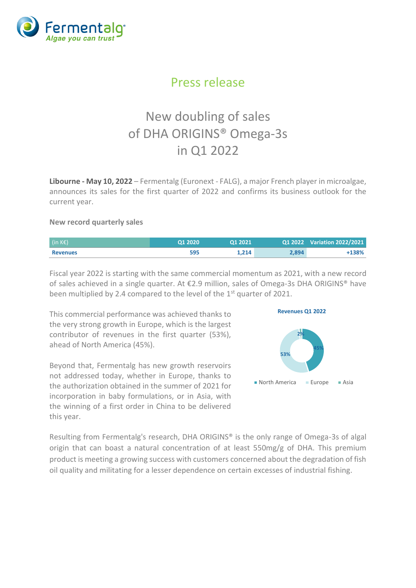

# Press release

# New doubling of sales of DHA ORIGINS® Omega-3s in Q1 2022

**Libourne - May 10, 2022** – Fermentalg (Euronext - FALG), a major French player in microalgae, announces its sales for the first quarter of 2022 and confirms its business outlook for the current year.

#### **New record quarterly sales**

| $\left( \text{in } K \in \mathbb{R} \right)$ | 01 2020 | 01 2021 |       | Q1 2022 Variation 2022/2021 |
|----------------------------------------------|---------|---------|-------|-----------------------------|
| <b>Revenues</b>                              | 595     | 1.214   | 2.894 | $+138%$                     |

Fiscal year 2022 is starting with the same commercial momentum as 2021, with a new record of sales achieved in a single quarter. At €2.9 million, sales of Omega-3s DHA ORIGINS® have been multiplied by 2.4 compared to the level of the 1<sup>st</sup> quarter of 2021.

This commercial performance was achieved thanks to the very strong growth in Europe, which is the largest contributor of revenues in the first quarter (53%), ahead of North America (45%).

Beyond that, Fermentalg has new growth reservoirs not addressed today, whether in Europe, thanks to the authorization obtained in the summer of 2021 for incorporation in baby formulations, or in Asia, with the winning of a first order in China to be delivered this year.





Resulting from Fermentalg's research, DHA ORIGINS® is the only range of Omega-3s of algal origin that can boast a natural concentration of at least 550mg/g of DHA. This premium product is meeting a growing success with customers concerned about the degradation of fish oil quality and militating for a lesser dependence on certain excesses of industrial fishing.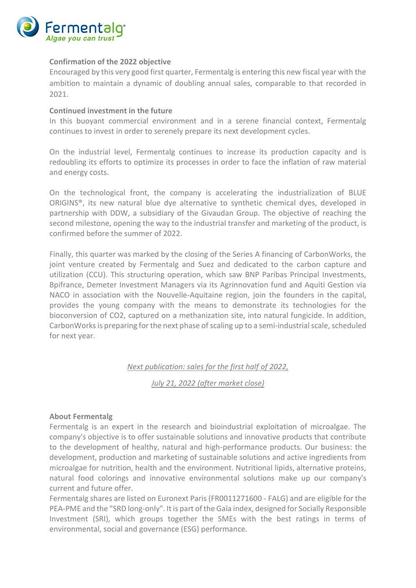

#### **Confirmation of the 2022 objective**

Encouraged by this very good first quarter, Fermentalg is entering this new fiscal year with the ambition to maintain a dynamic of doubling annual sales, comparable to that recorded in 2021.

#### **Continued investment in the future**

In this buoyant commercial environment and in a serene financial context, Fermentalg continues to invest in order to serenely prepare its next development cycles.

On the industrial level, Fermentalg continues to increase its production capacity and is redoubling its efforts to optimize its processes in order to face the inflation of raw material and energy costs.

On the technological front, the company is accelerating the industrialization of BLUE ORIGINS®, its new natural blue dye alternative to synthetic chemical dyes, developed in partnership with DDW, a subsidiary of the Givaudan Group. The objective of reaching the second milestone, opening the way to the industrial transfer and marketing of the product, is confirmed before the summer of 2022.

Finally, this quarter was marked by the closing of the Series A financing of CarbonWorks, the joint venture created by Fermentalg and Suez and dedicated to the carbon capture and utilization (CCU). This structuring operation, which saw BNP Paribas Principal Investments, Bpifrance, Demeter Investment Managers via its Agrinnovation fund and Aquiti Gestion via NACO in association with the Nouvelle-Aquitaine region, join the founders in the capital, provides the young company with the means to demonstrate its technologies for the bioconversion of CO2, captured on a methanization site, into natural fungicide. In addition, CarbonWorks is preparing for the next phase of scaling up to a semi-industrial scale, scheduled for next year.

## *Next publication: sales for the first half of 2022,*

*July 21, 2022 (after market close)*

#### **About Fermentalg**

Fermentalg is an expert in the research and bioindustrial exploitation of microalgae. The company's objective is to offer sustainable solutions and innovative products that contribute to the development of healthy, natural and high-performance products. Our business: the development, production and marketing of sustainable solutions and active ingredients from microalgae for nutrition, health and the environment. Nutritional lipids, alternative proteins, natural food colorings and innovative environmental solutions make up our company's current and future offer.

Fermentalg shares are listed on Euronext Paris (FR0011271600 - FALG) and are eligible for the PEA-PME and the "SRD long-only". It is part of the Gaïa index, designed for Socially Responsible Investment (SRI), which groups together the SMEs with the best ratings in terms of environmental, social and governance (ESG) performance.